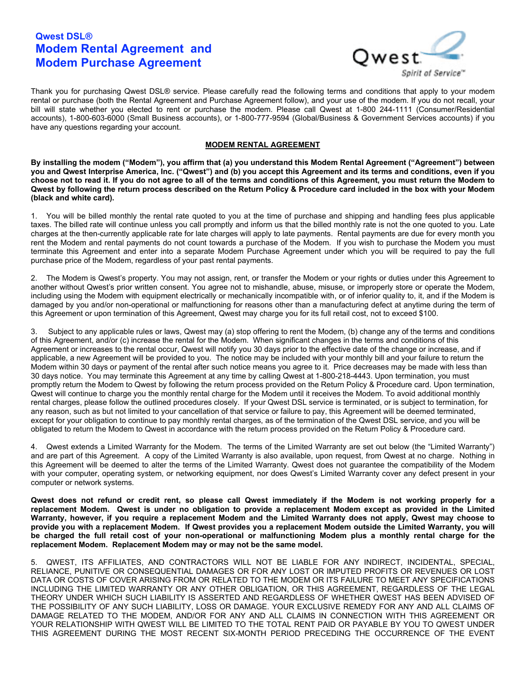# **Qwest DSL® Modem Rental Agreement and Modem Purchase Agreement**



Thank you for purchasing Qwest DSL® service. Please carefully read the following terms and conditions that apply to your modem rental or purchase (both the Rental Agreement and Purchase Agreement follow), and your use of the modem. If you do not recall, your bill will state whether you elected to rent or purchase the modem. Please call Qwest at 1-800 244-1111 (Consumer/Residential accounts), 1-800-603-6000 (Small Business accounts), or 1-800-777-9594 (Global/Business & Government Services accounts) if you have any questions regarding your account.

## **MODEM RENTAL AGREEMENT**

**By installing the modem ("Modem"), you affirm that (a) you understand this Modem Rental Agreement ("Agreement") between** you and Qwest Interprise America, Inc. ("Qwest") and (b) you accept this Agreement and its terms and conditions, even if you choose not to read it. If you do not agree to all of the terms and conditions of this Agreement, you must return the Modem to Qwest by following the return process described on the Return Policy & Procedure card included in the box with your Modem **(black and white card).**

1. You will be billed monthly the rental rate quoted to you at the time of purchase and shipping and handling fees plus applicable taxes. The billed rate will continue unless you call promptly and inform us that the billed monthly rate is not the one quoted to you. Late charges at the then-currently applicable rate for late charges will apply to late payments. Rental payments are due for every month you rent the Modem and rental payments do not count towards a purchase of the Modem. If you wish to purchase the Modem you must terminate this Agreement and enter into a separate Modem Purchase Agreement under which you will be required to pay the full purchase price of the Modem, regardless of your past rental payments.

2. The Modem is Qwest's property. You may not assign, rent, or transfer the Modem or your rights or duties under this Agreement to another without Qwest's prior written consent. You agree not to mishandle, abuse, misuse, or improperly store or operate the Modem, including using the Modem with equipment electrically or mechanically incompatible with, or of inferior quality to, it, and if the Modem is damaged by you and/or non-operational or malfunctioning for reasons other than a manufacturing defect at anytime during the term of this Agreement or upon termination of this Agreement, Qwest may charge you for its full retail cost, not to exceed \$100.

3. Subject to any applicable rules or laws, Qwest may (a) stop offering to rent the Modem, (b) change any of the terms and conditions of this Agreement, and/or (c) increase the rental for the Modem. When significant changes in the terms and conditions of this Agreement or increases to the rental occur, Qwest will notify you 30 days prior to the effective date of the change or increase, and if applicable, a new Agreement will be provided to you. The notice may be included with your monthly bill and your failure to return the Modem within 30 days or payment of the rental after such notice means you agree to it. Price decreases may be made with less than 30 days notice. You may terminate this Agreement at any time by calling Qwest at 1-800-218-4443. Upon termination, you must promptly return the Modem to Qwest by following the return process provided on the Return Policy & Procedure card. Upon termination, Qwest will continue to charge you the monthly rental charge for the Modem until it receives the Modem. To avoid additional monthly rental charges, please follow the outlined procedures closely. If your Qwest DSL service is terminated, or is subject to termination, for any reason, such as but not limited to your cancellation of that service or failure to pay, this Agreement will be deemed terminated, except for your obligation to continue to pay monthly rental charges, as of the termination of the Qwest DSL service, and you will be obligated to return the Modem to Qwest in accordance with the return process provided on the Return Policy & Procedure card.

4. Qwest extends a Limited Warranty for the Modem. The terms of the Limited Warranty are set out below (the "Limited Warranty") and are part of this Agreement. A copy of the Limited Warranty is also available, upon request, from Qwest at no charge. Nothing in this Agreement will be deemed to alter the terms of the Limited Warranty. Qwest does not guarantee the compatibility of the Modem with your computer, operating system, or networking equipment, nor does Qwest's Limited Warranty cover any defect present in your computer or network systems.

**Qwest does not refund or credit rent, so please call Qwest immediately if the Modem is not working properly for a replacement Modem. Qwest is under no obligation to provide a replacement Modem except as provided in the Limited Warranty, however, if you require a replacement Modem and the Limited Warranty does not apply, Qwest may choose to** provide you with a replacement Modem. If Qwest provides you a replacement Modem outside the Limited Warranty, you will be charged the full retail cost of your non-operational or malfunctioning Modem plus a monthly rental charge for the **replacement Modem. Replacement Modem may or may not be the same model.**

5. QWEST, ITS AFFILIATES, AND CONTRACTORS WILL NOT BE LIABLE FOR ANY INDIRECT, INCIDENTAL, SPECIAL, RELIANCE, PUNITIVE OR CONSEQUENTIAL DAMAGES OR FOR ANY LOST OR IMPUTED PROFITS OR REVENUES OR LOST DATA OR COSTS OF COVER ARISING FROM OR RELATED TO THE MODEM OR ITS FAILURE TO MEET ANY SPECIFICATIONS INCLUDING THE LIMITED WARRANTY OR ANY OTHER OBLIGATION, OR THIS AGREEMENT, REGARDLESS OF THE LEGAL THEORY UNDER WHICH SUCH LIABILITY IS ASSERTED AND REGARDLESS OF WHETHER QWEST HAS BEEN ADVISED OF THE POSSIBILITY OF ANY SUCH LIABILITY, LOSS OR DAMAGE. YOUR EXCLUSIVE REMEDY FOR ANY AND ALL CLAIMS OF DAMAGE RELATED TO THE MODEM, AND/OR FOR ANY AND ALL CLAIMS IN CONNECTION WITH THIS AGREEMENT OR YOUR RELATIONSHIP WITH QWEST WILL BE LIMITED TO THE TOTAL RENT PAID OR PAYABLE BY YOU TO QWEST UNDER THIS AGREEMENT DURING THE MOST RECENT SIX-MONTH PERIOD PRECEDING THE OCCURRENCE OF THE EVENT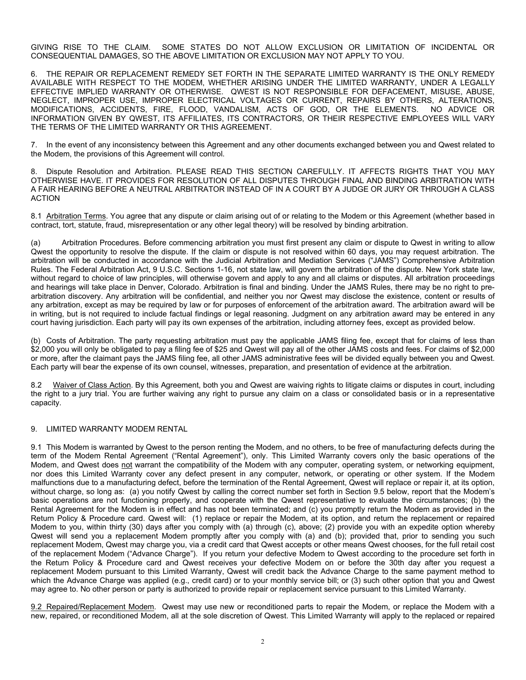GIVING RISE TO THE CLAIM. SOME STATES DO NOT ALLOW EXCLUSION OR LIMITATION OF INCIDENTAL OR CONSEQUENTIAL DAMAGES, SO THE ABOVE LIMITATION OR EXCLUSION MAY NOT APPLY TO YOU.

6. THE REPAIR OR REPLACEMENT REMEDY SET FORTH IN THE SEPARATE LIMITED WARRANTY IS THE ONLY REMEDY AVAILABLE WITH RESPECT TO THE MODEM, WHETHER ARISING UNDER THE LIMITED WARRANTY, UNDER A LEGALLY EFFECTIVE IMPLIED WARRANTY OR OTHERWISE. QWEST IS NOT RESPONSIBLE FOR DEFACEMENT, MISUSE, ABUSE, NEGLECT, IMPROPER USE, IMPROPER ELECTRICAL VOLTAGES OR CURRENT, REPAIRS BY OTHERS, ALTERATIONS, MODIFICATIONS, ACCIDENTS, FIRE, FLOOD, VANDALISM, ACTS OF GOD, OR THE ELEMENTS. NO ADVICE OR INFORMATION GIVEN BY QWEST, ITS AFFILIATES, ITS CONTRACTORS, OR THEIR RESPECTIVE EMPLOYEES WILL VARY THE TERMS OF THE LIMITED WARRANTY OR THIS AGREEMENT.

7. In the event of any inconsistency between this Agreement and any other documents exchanged between you and Qwest related to the Modem, the provisions of this Agreement will control.

8. Dispute Resolution and Arbitration. PLEASE READ THIS SECTION CAREFULLY. IT AFFECTS RIGHTS THAT YOU MAY OTHERWISE HAVE. IT PROVIDES FOR RESOLUTION OF ALL DISPUTES THROUGH FINAL AND BINDING ARBITRATION WITH A FAIR HEARING BEFORE A NEUTRAL ARBITRATOR INSTEAD OF IN A COURT BY A JUDGE OR JURY OR THROUGH A CLASS ACTION

8.1 Arbitration Terms. You agree that any dispute or claim arising out of or relating to the Modem or this Agreement (whether based in contract, tort, statute, fraud, misrepresentation or any other legal theory) will be resolved by binding arbitration.

(a) Arbitration Procedures. Before commencing arbitration you must first present any claim or dispute to Qwest in writing to allow Qwest the opportunity to resolve the dispute. If the claim or dispute is not resolved within 60 days, you may request arbitration. The arbitration will be conducted in accordance with the Judicial Arbitration and Mediation Services ("JAMS") Comprehensive Arbitration Rules. The Federal Arbitration Act, 9 U.S.C. Sections 1-16, not state law, will govern the arbitration of the dispute. New York state law, without regard to choice of law principles, will otherwise govern and apply to any and all claims or disputes. All arbitration proceedings and hearings will take place in Denver, Colorado. Arbitration is final and binding. Under the JAMS Rules, there may be no right to prearbitration discovery. Any arbitration will be confidential, and neither you nor Qwest may disclose the existence, content or results of any arbitration, except as may be required by law or for purposes of enforcement of the arbitration award. The arbitration award will be in writing, but is not required to include factual findings or legal reasoning. Judgment on any arbitration award may be entered in any court having jurisdiction. Each party will pay its own expenses of the arbitration, including attorney fees, except as provided below.

(b) Costs of Arbitration. The party requesting arbitration must pay the applicable JAMS filing fee, except that for claims of less than \$2,000 you will only be obligated to pay a filing fee of \$25 and Qwest will pay all of the other JAMS costs and fees. For claims of \$2,000 or more, after the claimant pays the JAMS filing fee, all other JAMS administrative fees will be divided equally between you and Qwest. Each party will bear the expense of its own counsel, witnesses, preparation, and presentation of evidence at the arbitration.

8.2 Waiver of Class Action. By this Agreement, both you and Qwest are waiving rights to litigate claims or disputes in court, including the right to a jury trial. You are further waiving any right to pursue any claim on a class or consolidated basis or in a representative capacity.

#### 9. LIMITED WARRANTY MODEM RENTAL

9.1 This Modem is warranted by Qwest to the person renting the Modem, and no others, to be free of manufacturing defects during the term of the Modem Rental Agreement ("Rental Agreement"), only. This Limited Warranty covers only the basic operations of the Modem, and Qwest does not warrant the compatibility of the Modem with any computer, operating system, or networking equipment, nor does this Limited Warranty cover any defect present in any computer, network, or operating or other system. If the Modem malfunctions due to a manufacturing defect, before the termination of the Rental Agreement, Qwest will replace or repair it, at its option, without charge, so long as: (a) you notify Qwest by calling the correct number set forth in Section 9.5 below, report that the Modem's basic operations are not functioning properly, and cooperate with the Qwest representative to evaluate the circumstances; (b) the Rental Agreement for the Modem is in effect and has not been terminated; and (c) you promptly return the Modem as provided in the Return Policy & Procedure card. Qwest will: (1) replace or repair the Modem, at its option, and return the replacement or repaired Modem to you, within thirty (30) days after you comply with (a) through (c), above; (2) provide you with an expedite option whereby Qwest will send you a replacement Modem promptly after you comply with (a) and (b); provided that, prior to sending you such replacement Modem, Qwest may charge you, via a credit card that Qwest accepts or other means Qwest chooses, for the full retail cost of the replacement Modem ("Advance Charge"). If you return your defective Modem to Qwest according to the procedure set forth in the Return Policy & Procedure card and Qwest receives your defective Modem on or before the 30th day after you request a replacement Modem pursuant to this Limited Warranty, Qwest will credit back the Advance Charge to the same payment method to which the Advance Charge was applied (e.g., credit card) or to your monthly service bill; or (3) such other option that you and Qwest may agree to. No other person or party is authorized to provide repair or replacement service pursuant to this Limited Warranty.

9.2 Repaired/Replacement Modem. Qwest may use new or reconditioned parts to repair the Modem, or replace the Modem with a new, repaired, or reconditioned Modem, all at the sole discretion of Qwest. This Limited Warranty will apply to the replaced or repaired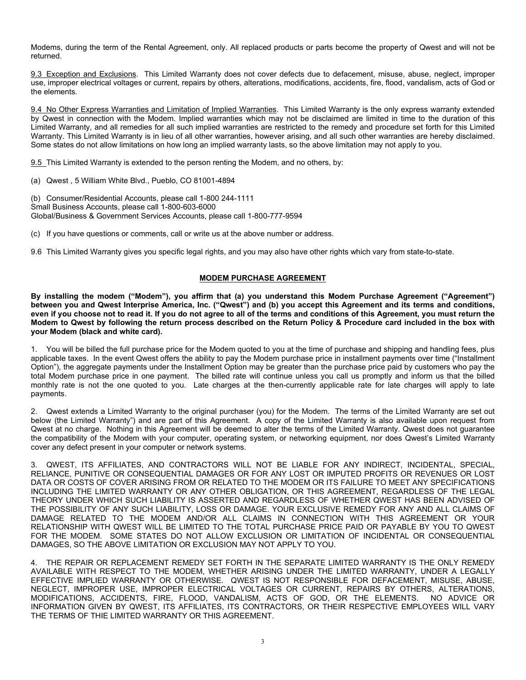Modems, during the term of the Rental Agreement, only. All replaced products or parts become the property of Qwest and will not be returned.

9.3 Exception and Exclusions. This Limited Warranty does not cover defects due to defacement, misuse, abuse, neglect, improper use, improper electrical voltages or current, repairs by others, alterations, modifications, accidents, fire, flood, vandalism, acts of God or the elements.

9.4 No Other Express Warranties and Limitation of Implied Warranties. This Limited Warranty is the only express warranty extended by Qwest in connection with the Modem. Implied warranties which may not be disclaimed are limited in time to the duration of this Limited Warranty, and all remedies for all such implied warranties are restricted to the remedy and procedure set forth for this Limited Warranty. This Limited Warranty is in lieu of all other warranties, however arising, and all such other warranties are hereby disclaimed. Some states do not allow limitations on how long an implied warranty lasts, so the above limitation may not apply to you.

9.5 This Limited Warranty is extended to the person renting the Modem, and no others, by:

(a) Qwest , 5 William White Blvd., Pueblo, CO 81001-4894

(b) Consumer/Residential Accounts, please call 1-800 244-1111 Small Business Accounts, please call 1-800-603-6000 Global/Business & Government Services Accounts, please call 1-800-777-9594

(c) If you have questions or comments, call or write us at the above number or address.

9.6 This Limited Warranty gives you specific legal rights, and you may also have other rights which vary from state-to-state.

#### **MODEM PURCHASE AGREEMENT**

**By installing the modem ("Modem"), you affirm that (a) you understand this Modem Purchase Agreement ("Agreement") between you and Qwest Interprise America, Inc. ("Qwest") and (b) you accept this Agreement and its terms and conditions,** even if you choose not to read it. If you do not agree to all of the terms and conditions of this Agreement, you must return the Modem to Qwest by following the return process described on the Return Policy & Procedure card included in the box with **your Modem (black and white card).**

1. You will be billed the full purchase price for the Modem quoted to you at the time of purchase and shipping and handling fees, plus applicable taxes. In the event Qwest offers the ability to pay the Modem purchase price in installment payments over time ("Installment Option"), the aggregate payments under the Installment Option may be greater than the purchase price paid by customers who pay the total Modem purchase price in one payment. The billed rate will continue unless you call us promptly and inform us that the billed monthly rate is not the one quoted to you. Late charges at the then-currently applicable rate for late charges will apply to late payments.

2. Qwest extends a Limited Warranty to the original purchaser (you) for the Modem. The terms of the Limited Warranty are set out below (the Limited Warranty") and are part of this Agreement. A copy of the Limited Warranty is also available upon request from Qwest at no charge. Nothing in this Agreement will be deemed to alter the terms of the Limited Warranty. Qwest does not guarantee the compatibility of the Modem with your computer, operating system, or networking equipment, nor does Qwest's Limited Warranty cover any defect present in your computer or network systems.

3. QWEST, ITS AFFILIATES, AND CONTRACTORS WILL NOT BE LIABLE FOR ANY INDIRECT, INCIDENTAL, SPECIAL, RELIANCE, PUNITIVE OR CONSEQUENTIAL DAMAGES OR FOR ANY LOST OR IMPUTED PROFITS OR REVENUES OR LOST DATA OR COSTS OF COVER ARISING FROM OR RELATED TO THE MODEM OR ITS FAILURE TO MEET ANY SPECIFICATIONS INCLUDING THE LIMITED WARRANTY OR ANY OTHER OBLIGATION, OR THIS AGREEMENT, REGARDLESS OF THE LEGAL THEORY UNDER WHICH SUCH LIABILITY IS ASSERTED AND REGARDLESS OF WHETHER QWEST HAS BEEN ADVISED OF THE POSSIBILITY OF ANY SUCH LIABILITY, LOSS OR DAMAGE. YOUR EXCLUSIVE REMEDY FOR ANY AND ALL CLAIMS OF DAMAGE RELATED TO THE MODEM AND/OR ALL CLAIMS IN CONNECTION WITH THIS AGREEMENT OR YOUR RELATIONSHIP WITH QWEST WILL BE LIMITED TO THE TOTAL PURCHASE PRICE PAID OR PAYABLE BY YOU TO QWEST FOR THE MODEM. SOME STATES DO NOT ALLOW EXCLUSION OR LIMITATION OF INCIDENTAL OR CONSEQUENTIAL DAMAGES, SO THE ABOVE LIMITATION OR EXCLUSION MAY NOT APPLY TO YOU.

4. THE REPAIR OR REPLACEMENT REMEDY SET FORTH IN THE SEPARATE LIMITED WARRANTY IS THE ONLY REMEDY AVAILABLE WITH RESPECT TO THE MODEM, WHETHER ARISING UNDER THE LIMITED WARRANTY, UNDER A LEGALLY EFFECTIVE IMPLIED WARRANTY OR OTHERWISE. QWEST IS NOT RESPONSIBLE FOR DEFACEMENT, MISUSE, ABUSE, NEGLECT, IMPROPER USE, IMPROPER ELECTRICAL VOLTAGES OR CURRENT, REPAIRS BY OTHERS, ALTERATIONS, MODIFICATIONS, ACCIDENTS, FIRE, FLOOD, VANDALISM, ACTS OF GOD, OR THE ELEMENTS. NO ADVICE OR INFORMATION GIVEN BY QWEST, ITS AFFILIATES, ITS CONTRACTORS, OR THEIR RESPECTIVE EMPLOYEES WILL VARY THE TERMS OF THIE LIMITED WARRANTY OR THIS AGREEMENT.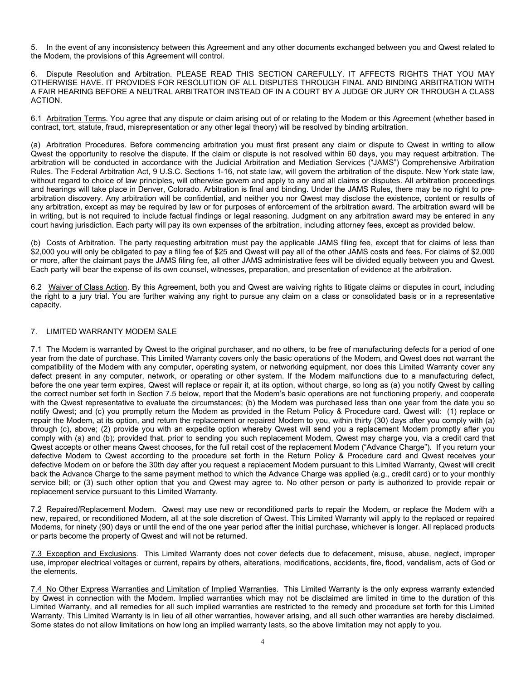5. In the event of any inconsistency between this Agreement and any other documents exchanged between you and Qwest related to the Modem, the provisions of this Agreement will control.

6. Dispute Resolution and Arbitration. PLEASE READ THIS SECTION CAREFULLY. IT AFFECTS RIGHTS THAT YOU MAY OTHERWISE HAVE. IT PROVIDES FOR RESOLUTION OF ALL DISPUTES THROUGH FINAL AND BINDING ARBITRATION WITH A FAIR HEARING BEFORE A NEUTRAL ARBITRATOR INSTEAD OF IN A COURT BY A JUDGE OR JURY OR THROUGH A CLASS ACTION.

6.1 Arbitration Terms. You agree that any dispute or claim arising out of or relating to the Modem or this Agreement (whether based in contract, tort, statute, fraud, misrepresentation or any other legal theory) will be resolved by binding arbitration.

(a) Arbitration Procedures. Before commencing arbitration you must first present any claim or dispute to Qwest in writing to allow Qwest the opportunity to resolve the dispute. If the claim or dispute is not resolved within 60 days, you may request arbitration. The arbitration will be conducted in accordance with the Judicial Arbitration and Mediation Services ("JAMS") Comprehensive Arbitration Rules. The Federal Arbitration Act, 9 U.S.C. Sections 1-16, not state law, will govern the arbitration of the dispute. New York state law, without regard to choice of law principles, will otherwise govern and apply to any and all claims or disputes. All arbitration proceedings and hearings will take place in Denver, Colorado. Arbitration is final and binding. Under the JAMS Rules, there may be no right to prearbitration discovery. Any arbitration will be confidential, and neither you nor Qwest may disclose the existence, content or results of any arbitration, except as may be required by law or for purposes of enforcement of the arbitration award. The arbitration award will be in writing, but is not required to include factual findings or legal reasoning. Judgment on any arbitration award may be entered in any court having jurisdiction. Each party will pay its own expenses of the arbitration, including attorney fees, except as provided below.

(b) Costs of Arbitration. The party requesting arbitration must pay the applicable JAMS filing fee, except that for claims of less than \$2,000 you will only be obligated to pay a filing fee of \$25 and Qwest will pay all of the other JAMS costs and fees. For claims of \$2,000 or more, after the claimant pays the JAMS filing fee, all other JAMS administrative fees will be divided equally between you and Qwest. Each party will bear the expense of its own counsel, witnesses, preparation, and presentation of evidence at the arbitration.

6.2 Waiver of Class Action. By this Agreement, both you and Qwest are waiving rights to litigate claims or disputes in court, including the right to a jury trial. You are further waiving any right to pursue any claim on a class or consolidated basis or in a representative capacity.

## 7. LIMITED WARRANTY MODEM SALE

7.1 The Modem is warranted by Qwest to the original purchaser, and no others, to be free of manufacturing defects for a period of one year from the date of purchase. This Limited Warranty covers only the basic operations of the Modem, and Qwest does not warrant the compatibility of the Modem with any computer, operating system, or networking equipment, nor does this Limited Warranty cover any defect present in any computer, network, or operating or other system. If the Modem malfunctions due to a manufacturing defect, before the one year term expires, Qwest will replace or repair it, at its option, without charge, so long as (a) you notify Qwest by calling the correct number set forth in Section 7.5 below, report that the Modem's basic operations are not functioning properly, and cooperate with the Qwest representative to evaluate the circumstances; (b) the Modem was purchased less than one year from the date you so notify Qwest; and (c) you promptly return the Modem as provided in the Return Policy & Procedure card. Qwest will: (1) replace or repair the Modem, at its option, and return the replacement or repaired Modem to you, within thirty (30) days after you comply with (a) through (c), above; (2) provide you with an expedite option whereby Qwest will send you a replacement Modem promptly after you comply with (a) and (b); provided that, prior to sending you such replacement Modem, Qwest may charge you, via a credit card that Qwest accepts or other means Qwest chooses, for the full retail cost of the replacement Modem ("Advance Charge"). If you return your defective Modem to Qwest according to the procedure set forth in the Return Policy & Procedure card and Qwest receives your defective Modem on or before the 30th day after you request a replacement Modem pursuant to this Limited Warranty, Qwest will credit back the Advance Charge to the same payment method to which the Advance Charge was applied (e.g., credit card) or to your monthly service bill; or (3) such other option that you and Qwest may agree to. No other person or party is authorized to provide repair or replacement service pursuant to this Limited Warranty.

7.2 Repaired/Replacement Modem. Qwest may use new or reconditioned parts to repair the Modem, or replace the Modem with a new, repaired, or reconditioned Modem, all at the sole discretion of Qwest. This Limited Warranty will apply to the replaced or repaired Modems, for ninety (90) days or until the end of the one year period after the initial purchase, whichever is longer. All replaced products or parts become the property of Qwest and will not be returned.

7.3 Exception and Exclusions. This Limited Warranty does not cover defects due to defacement, misuse, abuse, neglect, improper use, improper electrical voltages or current, repairs by others, alterations, modifications, accidents, fire, flood, vandalism, acts of God or the elements.

7.4 No Other Express Warranties and Limitation of Implied Warranties. This Limited Warranty is the only express warranty extended by Qwest in connection with the Modem. Implied warranties which may not be disclaimed are limited in time to the duration of this Limited Warranty, and all remedies for all such implied warranties are restricted to the remedy and procedure set forth for this Limited Warranty. This Limited Warranty is in lieu of all other warranties, however arising, and all such other warranties are hereby disclaimed. Some states do not allow limitations on how long an implied warranty lasts, so the above limitation may not apply to you.